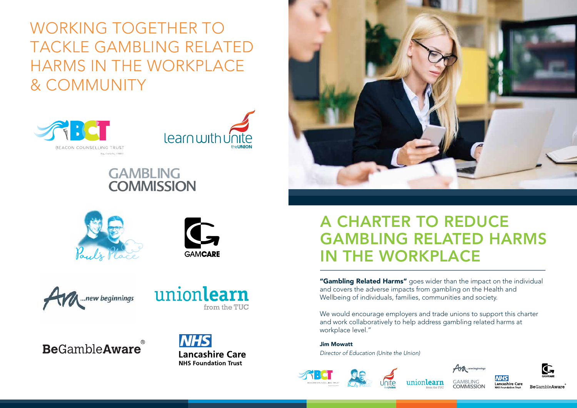"Gambling Related Harms" goes wider than the impact on the individual and covers the adverse impacts from gambling on the Health and Wellbeing of individuals, families, communities and society.

We would encourage employers and trade unions to support this charter and work collaboratively to help address gambling related harms at workplace level."

Jim Mowatt *Director of Education (Unite the Union)*











**GAMBLING COMMISSION** 





**Be**GambleAware

# A CHARTER TO REDUCE GAMBLING RELATED HARMS IN THE WORKPLACE

WORKING TOGETHER TO TACKLE GAMBLING RELATED HARMS IN THE WORKPLACE & COMMUNITY





### **GAMBLING COMMISSION**











**NHS Lancashire Care NHS Foundation Trust**